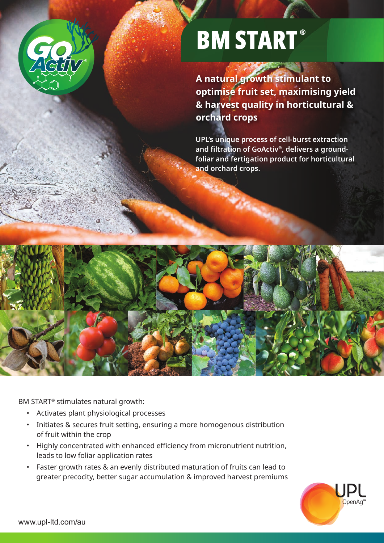

# **BM START®**

**A natural growth stimulant to optimise fruit set, maximising yield & harvest quality in horticultural & orchard crops**

**UPL's unique process of cell-burst extraction and filtration of GoActiv®, delivers a groundfoliar and fertigation product for horticultural and orchard crops.**



BM START® stimulates natural growth:

- Activates plant physiological processes
- Initiates & secures fruit setting, ensuring a more homogenous distribution of fruit within the crop
- • Highly concentrated with enhanced efficiency from micronutrient nutrition, leads to low foliar application rates
- Faster growth rates & an evenly distributed maturation of fruits can lead to greater precocity, better sugar accumulation & improved harvest premiums

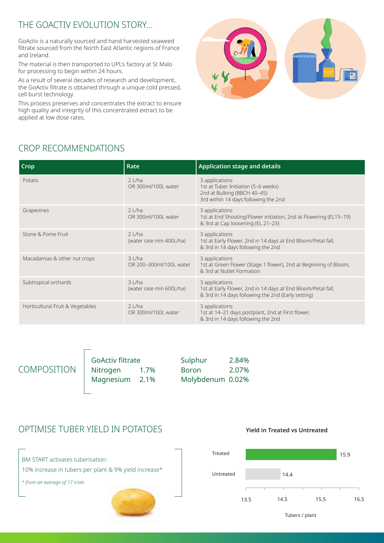### THE GOACTIV EVOLUTION STORY…

GoActiv is a naturally sourced and hand harvested seaweed filtrate sourced from the North East Atlantic regions of France and Ireland.

The material is then transported to UPL's factory at St Malo for processing to begin within 24 hours.

As a result of several decades of research and development, the GoActiv filtrate is obtained through a unique cold pressed, cell burst technology.

This process preserves and concentrates the extract to ensure high quality and integrity of this concentrated extract to be applied at low dose rates.



# CROP RECOMMENDATIONS

| Crop                             | Rate                                 | <b>Application stage and details</b>                                                                                                 |
|----------------------------------|--------------------------------------|--------------------------------------------------------------------------------------------------------------------------------------|
| Potato                           | $2$ L/ha<br>OR 300ml/100L water      | 3 applications<br>1st at Tuber Initiation (5-6 weeks)<br>2nd at Bulking (BBCH 40-45)<br>3rd within 14 days following the 2nd         |
| Grapevines                       | $2$ L/ha<br>OR 300ml/100L water      | 3 applications<br>1st at End Shooting/Flower initiation, 2nd at Flowering (EL15-19)<br>& 3rd at Cap loosening (EL 21-23)             |
| Stone & Pome Fruit               | $2$ L/ha<br>(water rate min 400L/ha) | 3 applications<br>1st at Early Flower, 2nd in 14 days at End Bloom/Petal fall,<br>& 3rd in 14 days following the 2nd                 |
| Macadamias & other nut crops     | 3 L/ha<br>OR 200-300ml/100L water    | 3 applications<br>1st at Green Flower (Stage 1 flower), 2nd at Beginning of Bloom,<br>& 3rd at Nutlet Formation                      |
| Subtropical orchards             | 3 L/ha<br>(water rate min 600L/ha)   | 3 applications<br>1st at Early Flower, 2nd in 14 days at End Bloom/Petal fall,<br>& 3rd in 14 days following the 2nd (Early setting) |
| Horticultural Fruit & Vegetables | $2$ L/ha<br>OR 300ml/100L water      | 3 applications<br>1st at 14-21 days postplant, 2nd at First flower,<br>& 3rd in 14 days following the 2nd                            |

COMPOSITION

GoActiv filtrate Nitrogen 1.7% Magnesium 2.1% Sulphur 2.84% Boron 2.07% Molybdenum 0.02%

#### OPTIMISE TUBER YIELD IN POTATOES





**Yield in Treated vs Untreated**

Tubers / plant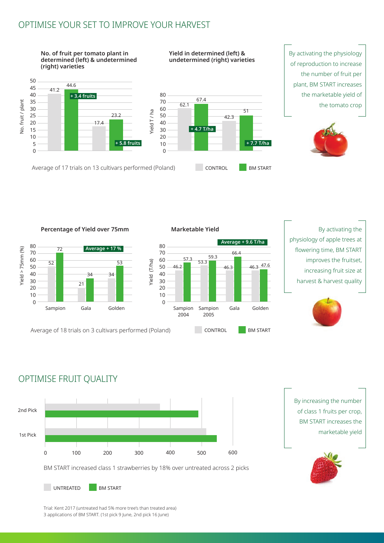#### OPTIMISE YOUR SET TO IMPROVE YOUR HARVEST



Sampion 2004

Sampion Gala Golden

66.4

2005

46.2

57.3

53.3 59.3

Yield (T/ha)

(ield (T/ha)

80 72 **Average + 17 %** Yield >  $75$ mm (%) Yield  $> 75$ mm  $(%$ 70 60 52 53 50 40 34 34 30 21 20 10 0

Average of 18 trials on 3 cultivars performed (Poland) CONTROL BM START

Gala Golden

physiology of apple trees at flowering time, BM START improves the fruitset, **Average + 9.6 T/ha** 46.3 47.6

increasing fruit size at harvest & harvest quality



# OPTIMISE FRUIT QUALITY

Sampion



By increasing the number of class 1 fruits per crop, BM START increases the marketable yield



Trial: Kent 2017 (untreated had 5% more tree's than treated area) 3 applications of BM START. (1st pick 9 June, 2nd pick 16 June)